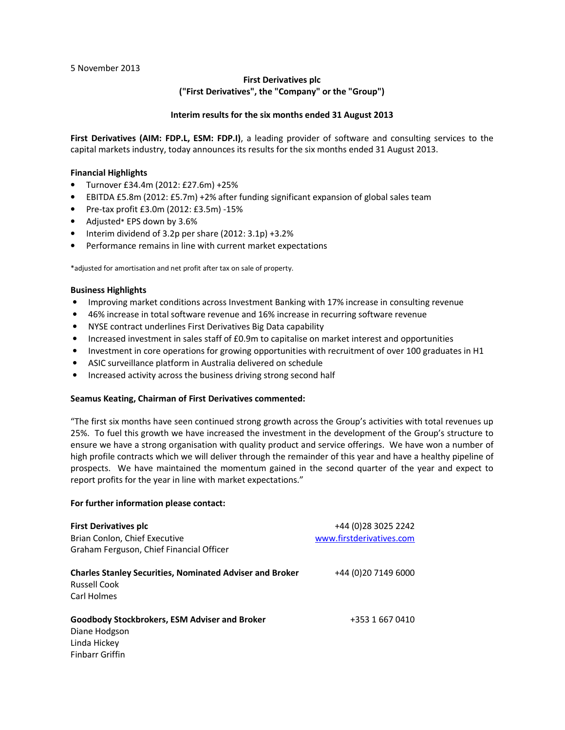5 November 2013

## **First Derivatives plc ("First Derivatives", the "Company" or the "Group")**

#### **Interim results for the six months ended 31 August 2013**

**First Derivatives (AIM: FDP.L, ESM: FDP.I)**, a leading provider of software and consulting services to the capital markets industry, today announces its results for the six months ended 31 August 2013.

#### **Financial Highlights**

- Turnover £34.4m (2012: £27.6m) +25%
- EBITDA £5.8m (2012: £5.7m) +2% after funding significant expansion of global sales team
- Pre-tax profit £3.0m (2012: £3.5m) -15%
- Adjusted\* EPS down by 3.6%
- Interim dividend of 3.2p per share (2012: 3.1p) +3.2%
- Performance remains in line with current market expectations

\*adjusted for amortisation and net profit after tax on sale of property.

#### **Business Highlights**

- Improving market conditions across Investment Banking with 17% increase in consulting revenue
- 46% increase in total software revenue and 16% increase in recurring software revenue
- NYSE contract underlines First Derivatives Big Data capability
- Increased investment in sales staff of £0.9m to capitalise on market interest and opportunities
- Investment in core operations for growing opportunities with recruitment of over 100 graduates in H1
- ASIC surveillance platform in Australia delivered on schedule
- Increased activity across the business driving strong second half

#### **Seamus Keating, Chairman of First Derivatives commented:**

"The first six months have seen continued strong growth across the Group's activities with total revenues up 25%. To fuel this growth we have increased the investment in the development of the Group's structure to ensure we have a strong organisation with quality product and service offerings. We have won a number of high profile contracts which we will deliver through the remainder of this year and have a healthy pipeline of prospects. We have maintained the momentum gained in the second quarter of the year and expect to report profits for the year in line with market expectations."

#### **For further information please contact:**

| <b>First Derivatives plc</b><br>Brian Conlon, Chief Executive<br>Graham Ferguson, Chief Financial Officer       | +44 (0) 28 30 25 2242<br>www.firstderivatives.com |
|-----------------------------------------------------------------------------------------------------------------|---------------------------------------------------|
| <b>Charles Stanley Securities, Nominated Adviser and Broker</b><br><b>Russell Cook</b><br>Carl Holmes           | +44 (0) 20 7149 6000                              |
| <b>Goodbody Stockbrokers, ESM Adviser and Broker</b><br>Diane Hodgson<br>Linda Hickey<br><b>Finbarr Griffin</b> | +353 1 667 0410                                   |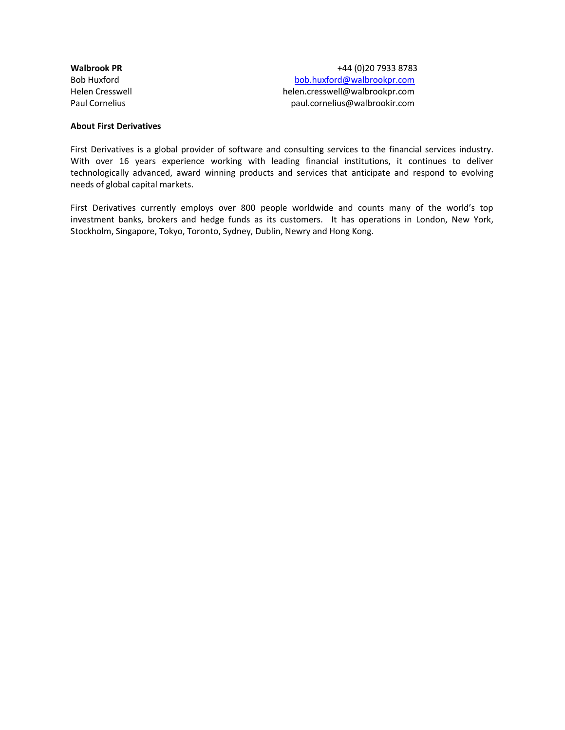**Walbrook PR** +44 (0)20 7933 8783 Bob Huxford bob.huxford@walbrookpr.com Helen Cresswell helen.cresswell@walbrookpr.com Paul Cornelius paul.cornelius@walbrookir.com

#### **About First Derivatives**

First Derivatives is a global provider of software and consulting services to the financial services industry. With over 16 years experience working with leading financial institutions, it continues to deliver technologically advanced, award winning products and services that anticipate and respond to evolving needs of global capital markets.

First Derivatives currently employs over 800 people worldwide and counts many of the world's top investment banks, brokers and hedge funds as its customers. It has operations in London, New York, Stockholm, Singapore, Tokyo, Toronto, Sydney, Dublin, Newry and Hong Kong.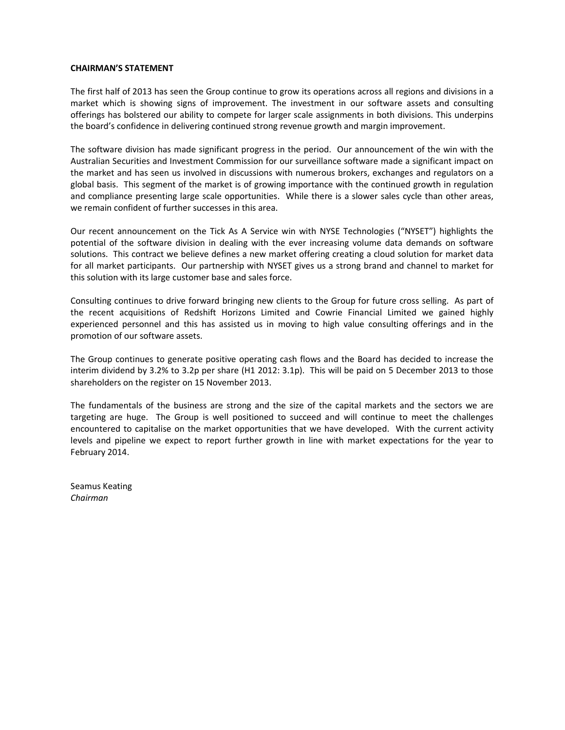#### **CHAIRMAN'S STATEMENT**

The first half of 2013 has seen the Group continue to grow its operations across all regions and divisions in a market which is showing signs of improvement. The investment in our software assets and consulting offerings has bolstered our ability to compete for larger scale assignments in both divisions. This underpins the board's confidence in delivering continued strong revenue growth and margin improvement.

The software division has made significant progress in the period. Our announcement of the win with the Australian Securities and Investment Commission for our surveillance software made a significant impact on the market and has seen us involved in discussions with numerous brokers, exchanges and regulators on a global basis. This segment of the market is of growing importance with the continued growth in regulation and compliance presenting large scale opportunities. While there is a slower sales cycle than other areas, we remain confident of further successes in this area.

Our recent announcement on the Tick As A Service win with NYSE Technologies ("NYSET") highlights the potential of the software division in dealing with the ever increasing volume data demands on software solutions. This contract we believe defines a new market offering creating a cloud solution for market data for all market participants. Our partnership with NYSET gives us a strong brand and channel to market for this solution with its large customer base and sales force.

Consulting continues to drive forward bringing new clients to the Group for future cross selling. As part of the recent acquisitions of Redshift Horizons Limited and Cowrie Financial Limited we gained highly experienced personnel and this has assisted us in moving to high value consulting offerings and in the promotion of our software assets.

The Group continues to generate positive operating cash flows and the Board has decided to increase the interim dividend by 3.2% to 3.2p per share (H1 2012: 3.1p). This will be paid on 5 December 2013 to those shareholders on the register on 15 November 2013.

The fundamentals of the business are strong and the size of the capital markets and the sectors we are targeting are huge. The Group is well positioned to succeed and will continue to meet the challenges encountered to capitalise on the market opportunities that we have developed. With the current activity levels and pipeline we expect to report further growth in line with market expectations for the year to February 2014.

Seamus Keating *Chairman*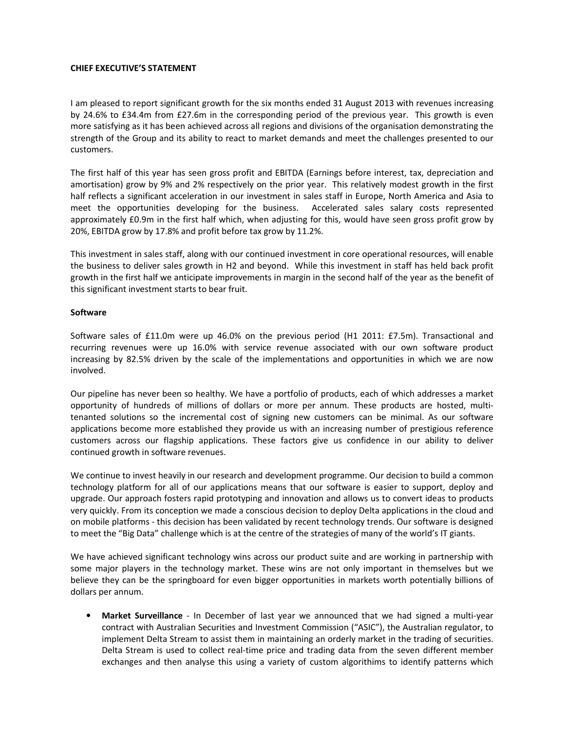#### **CHIEF EXECUTIVE'S STATEMENT**

I am pleased to report significant growth for the six months ended 31 August 2013 with revenues increasing by 24.6% to £34.4m from £27.6m in the corresponding period of the previous year. This growth is even more satisfying as it has been achieved across all regions and divisions of the organisation demonstrating the strength of the Group and its ability to react to market demands and meet the challenges presented to our customers.

The first half of this year has seen gross profit and EBITDA (Earnings before interest, tax, depreciation and amortisation) grow by 9% and 2% respectively on the prior year. This relatively modest growth in the first half reflects a significant acceleration in our investment in sales staff in Europe, North America and Asia to meet the opportunities developing for the business. Accelerated sales salary costs represented approximately £0.9m in the first half which, when adjusting for this, would have seen gross profit grow by 20%, EBITDA grow by 17.8% and profit before tax grow by 11.2%.

This investment in sales staff, along with our continued investment in core operational resources, will enable the business to deliver sales growth in H2 and beyond. While this investment in staff has held back profit growth in the first half we anticipate improvements in margin in the second half of the year as the benefit of this significant investment starts to bear fruit.

#### **Software**

Software sales of £11.0m were up 46.0% on the previous period (H1 2011: £7.5m). Transactional and recurring revenues were up 16.0% with service revenue associated with our own software product increasing by 82.5% driven by the scale of the implementations and opportunities in which we are now involved.

Our pipeline has never been so healthy. We have a portfolio of products, each of which addresses a market opportunity of hundreds of millions of dollars or more per annum. These products are hosted, multitenanted solutions so the incremental cost of signing new customers can be minimal. As our software applications become more established they provide us with an increasing number of prestigious reference customers across our flagship applications. These factors give us confidence in our ability to deliver continued growth in software revenues.

We continue to invest heavily in our research and development programme. Our decision to build a common technology platform for all of our applications means that our software is easier to support, deploy and upgrade. Our approach fosters rapid prototyping and innovation and allows us to convert ideas to products very quickly. From its conception we made a conscious decision to deploy Delta applications in the cloud and on mobile platforms - this decision has been validated by recent technology trends. Our software is designed to meet the "Big Data" challenge which is at the centre of the strategies of many of the world's IT giants.

We have achieved significant technology wins across our product suite and are working in partnership with some major players in the technology market. These wins are not only important in themselves but we believe they can be the springboard for even bigger opportunities in markets worth potentially billions of dollars per annum.

• **Market Surveillance** - In December of last year we announced that we had signed a multi-year contract with Australian Securities and Investment Commission ("ASIC"), the Australian regulator, to implement Delta Stream to assist them in maintaining an orderly market in the trading of securities. Delta Stream is used to collect real-time price and trading data from the seven different member exchanges and then analyse this using a variety of custom algorithims to identify patterns which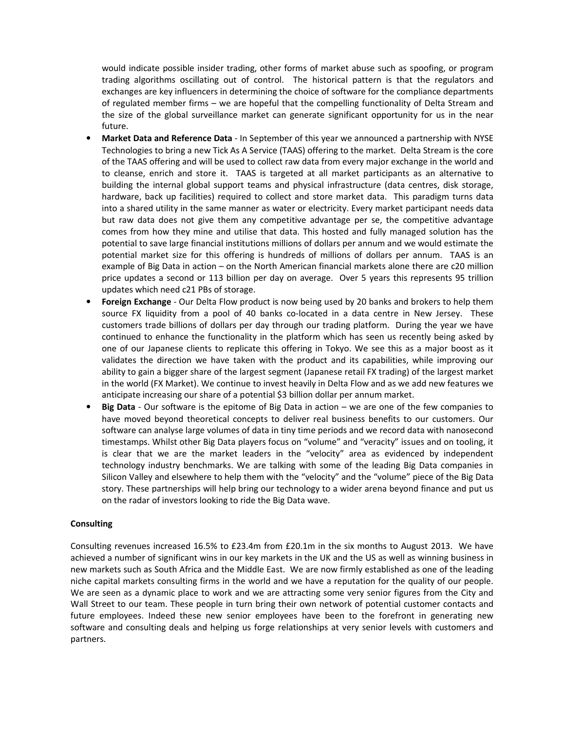would indicate possible insider trading, other forms of market abuse such as spoofing, or program trading algorithms oscillating out of control. The historical pattern is that the regulators and exchanges are key influencers in determining the choice of software for the compliance departments of regulated member firms – we are hopeful that the compelling functionality of Delta Stream and the size of the global surveillance market can generate significant opportunity for us in the near future.

- **Market Data and Reference Data** In September of this year we announced a partnership with NYSE Technologies to bring a new Tick As A Service (TAAS) offering to the market. Delta Stream is the core of the TAAS offering and will be used to collect raw data from every major exchange in the world and to cleanse, enrich and store it. TAAS is targeted at all market participants as an alternative to building the internal global support teams and physical infrastructure (data centres, disk storage, hardware, back up facilities) required to collect and store market data. This paradigm turns data into a shared utility in the same manner as water or electricity. Every market participant needs data but raw data does not give them any competitive advantage per se, the competitive advantage comes from how they mine and utilise that data. This hosted and fully managed solution has the potential to save large financial institutions millions of dollars per annum and we would estimate the potential market size for this offering is hundreds of millions of dollars per annum. TAAS is an example of Big Data in action – on the North American financial markets alone there are c20 million price updates a second or 113 billion per day on average. Over 5 years this represents 95 trillion updates which need c21 PBs of storage.
- **Foreign Exchange** Our Delta Flow product is now being used by 20 banks and brokers to help them source FX liquidity from a pool of 40 banks co-located in a data centre in New Jersey. These customers trade billions of dollars per day through our trading platform. During the year we have continued to enhance the functionality in the platform which has seen us recently being asked by one of our Japanese clients to replicate this offering in Tokyo. We see this as a major boost as it validates the direction we have taken with the product and its capabilities, while improving our ability to gain a bigger share of the largest segment (Japanese retail FX trading) of the largest market in the world (FX Market). We continue to invest heavily in Delta Flow and as we add new features we anticipate increasing our share of a potential \$3 billion dollar per annum market.
- **Big Data** Our software is the epitome of Big Data in action we are one of the few companies to have moved beyond theoretical concepts to deliver real business benefits to our customers. Our software can analyse large volumes of data in tiny time periods and we record data with nanosecond timestamps. Whilst other Big Data players focus on "volume" and "veracity" issues and on tooling, it is clear that we are the market leaders in the "velocity" area as evidenced by independent technology industry benchmarks. We are talking with some of the leading Big Data companies in Silicon Valley and elsewhere to help them with the "velocity" and the "volume" piece of the Big Data story. These partnerships will help bring our technology to a wider arena beyond finance and put us on the radar of investors looking to ride the Big Data wave.

## **Consulting**

Consulting revenues increased 16.5% to £23.4m from £20.1m in the six months to August 2013. We have achieved a number of significant wins in our key markets in the UK and the US as well as winning business in new markets such as South Africa and the Middle East. We are now firmly established as one of the leading niche capital markets consulting firms in the world and we have a reputation for the quality of our people. We are seen as a dynamic place to work and we are attracting some very senior figures from the City and Wall Street to our team. These people in turn bring their own network of potential customer contacts and future employees. Indeed these new senior employees have been to the forefront in generating new software and consulting deals and helping us forge relationships at very senior levels with customers and partners.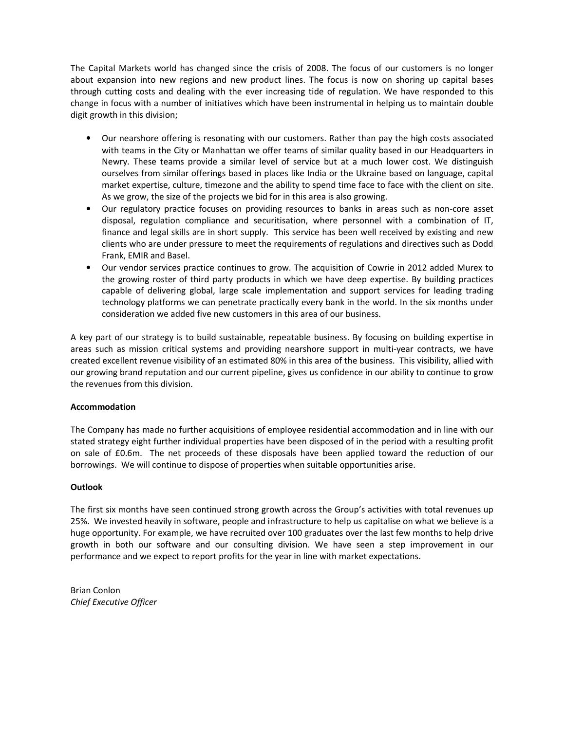The Capital Markets world has changed since the crisis of 2008. The focus of our customers is no longer about expansion into new regions and new product lines. The focus is now on shoring up capital bases through cutting costs and dealing with the ever increasing tide of regulation. We have responded to this change in focus with a number of initiatives which have been instrumental in helping us to maintain double digit growth in this division;

- Our nearshore offering is resonating with our customers. Rather than pay the high costs associated with teams in the City or Manhattan we offer teams of similar quality based in our Headquarters in Newry. These teams provide a similar level of service but at a much lower cost. We distinguish ourselves from similar offerings based in places like India or the Ukraine based on language, capital market expertise, culture, timezone and the ability to spend time face to face with the client on site. As we grow, the size of the projects we bid for in this area is also growing.
- Our regulatory practice focuses on providing resources to banks in areas such as non-core asset disposal, regulation compliance and securitisation, where personnel with a combination of IT, finance and legal skills are in short supply. This service has been well received by existing and new clients who are under pressure to meet the requirements of regulations and directives such as Dodd Frank, EMIR and Basel.
- Our vendor services practice continues to grow. The acquisition of Cowrie in 2012 added Murex to the growing roster of third party products in which we have deep expertise. By building practices capable of delivering global, large scale implementation and support services for leading trading technology platforms we can penetrate practically every bank in the world. In the six months under consideration we added five new customers in this area of our business.

A key part of our strategy is to build sustainable, repeatable business. By focusing on building expertise in areas such as mission critical systems and providing nearshore support in multi-year contracts, we have created excellent revenue visibility of an estimated 80% in this area of the business. This visibility, allied with our growing brand reputation and our current pipeline, gives us confidence in our ability to continue to grow the revenues from this division.

## **Accommodation**

The Company has made no further acquisitions of employee residential accommodation and in line with our stated strategy eight further individual properties have been disposed of in the period with a resulting profit on sale of £0.6m. The net proceeds of these disposals have been applied toward the reduction of our borrowings. We will continue to dispose of properties when suitable opportunities arise.

## **Outlook**

The first six months have seen continued strong growth across the Group's activities with total revenues up 25%. We invested heavily in software, people and infrastructure to help us capitalise on what we believe is a huge opportunity. For example, we have recruited over 100 graduates over the last few months to help drive growth in both our software and our consulting division. We have seen a step improvement in our performance and we expect to report profits for the year in line with market expectations.

Brian Conlon *Chief Executive Officer*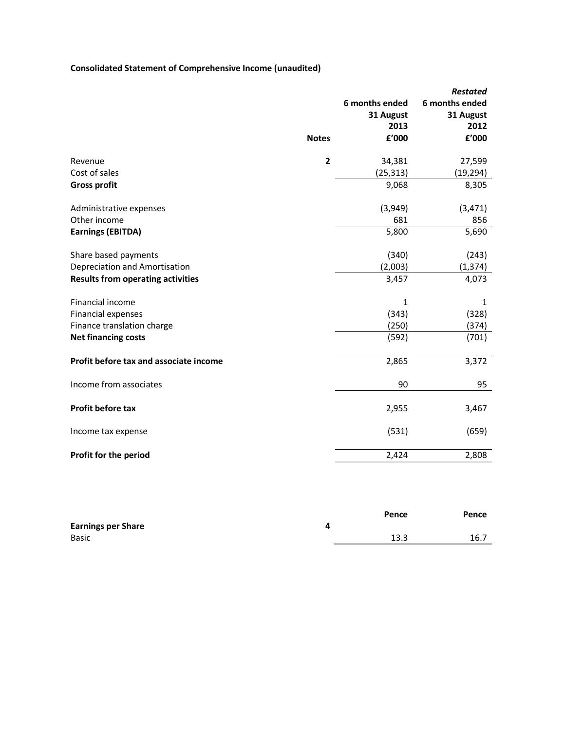## **Consolidated Statement of Comprehensive Income (unaudited)**

|                                          |                         | 6 months ended | <b>Restated</b><br>6 months ended |
|------------------------------------------|-------------------------|----------------|-----------------------------------|
|                                          |                         | 31 August      | 31 August                         |
|                                          |                         | 2013           | 2012                              |
|                                          | <b>Notes</b>            | £'000          | £'000                             |
| Revenue                                  | $\overline{\mathbf{c}}$ | 34,381         | 27,599                            |
| Cost of sales                            |                         | (25, 313)      | (19, 294)                         |
| <b>Gross profit</b>                      |                         | 9,068          | 8,305                             |
| Administrative expenses                  |                         | (3,949)        | (3, 471)                          |
| Other income                             |                         | 681            | 856                               |
| <b>Earnings (EBITDA)</b>                 |                         | 5,800          | 5,690                             |
| Share based payments                     |                         | (340)          | (243)                             |
| Depreciation and Amortisation            |                         | (2,003)        | (1, 374)                          |
| <b>Results from operating activities</b> |                         | 3,457          | 4,073                             |
| Financial income                         |                         | 1              | 1                                 |
| Financial expenses                       |                         | (343)          | (328)                             |
| Finance translation charge               |                         | (250)          | (374)                             |
| <b>Net financing costs</b>               |                         | (592)          | (701)                             |
| Profit before tax and associate income   |                         | 2,865          | 3,372                             |
| Income from associates                   |                         | 90             | 95                                |
| Profit before tax                        |                         | 2,955          | 3,467                             |
| Income tax expense                       |                         | (531)          | (659)                             |
| Profit for the period                    |                         | 2,424          | 2,808                             |

|                           | Pence | Pence |
|---------------------------|-------|-------|
| <b>Earnings per Share</b> |       |       |
| <b>Basic</b>              | 13.3  | 16.7  |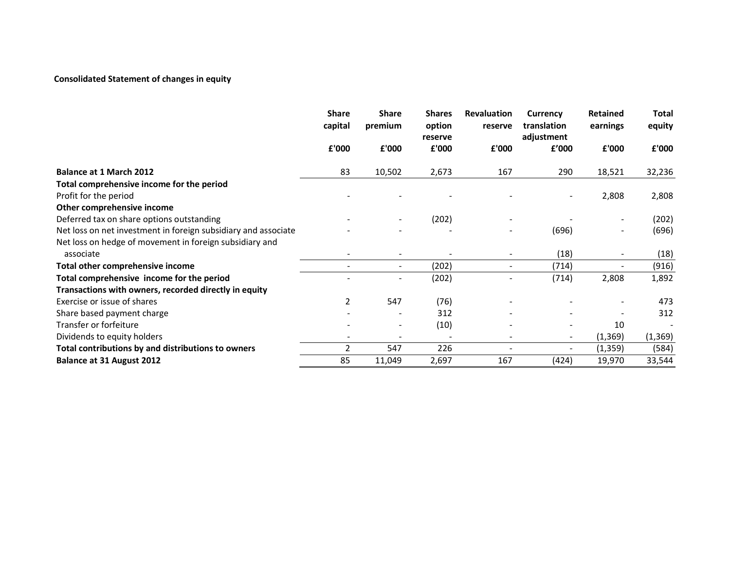## **Consolidated Statement of changes in equity**

|                                                                | <b>Share</b><br>capital | <b>Share</b><br>premium  | <b>Shares</b><br>option  | <b>Revaluation</b><br>reserve | Currency<br>translation  | Retained<br>earnings     | <b>Total</b><br>equity |
|----------------------------------------------------------------|-------------------------|--------------------------|--------------------------|-------------------------------|--------------------------|--------------------------|------------------------|
|                                                                | £'000                   | £'000                    | reserve<br>£'000         | £'000                         | adjustment<br>£'000      | £'000                    | £'000                  |
| <b>Balance at 1 March 2012</b>                                 | 83                      | 10,502                   | 2,673                    | 167                           | 290                      | 18,521                   | 32,236                 |
| Total comprehensive income for the period                      |                         |                          |                          |                               |                          |                          |                        |
| Profit for the period                                          |                         |                          |                          |                               |                          | 2,808                    | 2,808                  |
| Other comprehensive income                                     |                         |                          |                          |                               |                          |                          |                        |
| Deferred tax on share options outstanding                      |                         |                          | (202)                    |                               |                          | $\overline{\phantom{a}}$ | (202)                  |
| Net loss on net investment in foreign subsidiary and associate |                         |                          |                          |                               | (696)                    | $\overline{\phantom{a}}$ | (696)                  |
| Net loss on hedge of movement in foreign subsidiary and        |                         |                          |                          |                               |                          |                          |                        |
| associate                                                      |                         |                          |                          |                               | (18)                     |                          | (18)                   |
| Total other comprehensive income                               |                         | $\overline{\phantom{a}}$ | (202)                    |                               | (714)                    | $\overline{\phantom{a}}$ | (916)                  |
| Total comprehensive income for the period                      |                         |                          | (202)                    |                               | (714)                    | 2,808                    | 1,892                  |
| Transactions with owners, recorded directly in equity          |                         |                          |                          |                               |                          |                          |                        |
| Exercise or issue of shares                                    | $\overline{2}$          | 547                      | (76)                     |                               |                          |                          | 473                    |
| Share based payment charge                                     |                         |                          | 312                      |                               |                          |                          | 312                    |
| Transfer or forfeiture                                         |                         | $\overline{\phantom{a}}$ | (10)                     |                               |                          | 10                       |                        |
| Dividends to equity holders                                    |                         | $\overline{\phantom{a}}$ | $\overline{\phantom{a}}$ |                               | $\sim$                   | (1, 369)                 | (1, 369)               |
| Total contributions by and distributions to owners             | $\overline{2}$          | 547                      | 226                      |                               | $\overline{\phantom{a}}$ | (1, 359)                 | (584)                  |
| Balance at 31 August 2012                                      | 85                      | 11,049                   | 2,697                    | 167                           | (424)                    | 19,970                   | 33,544                 |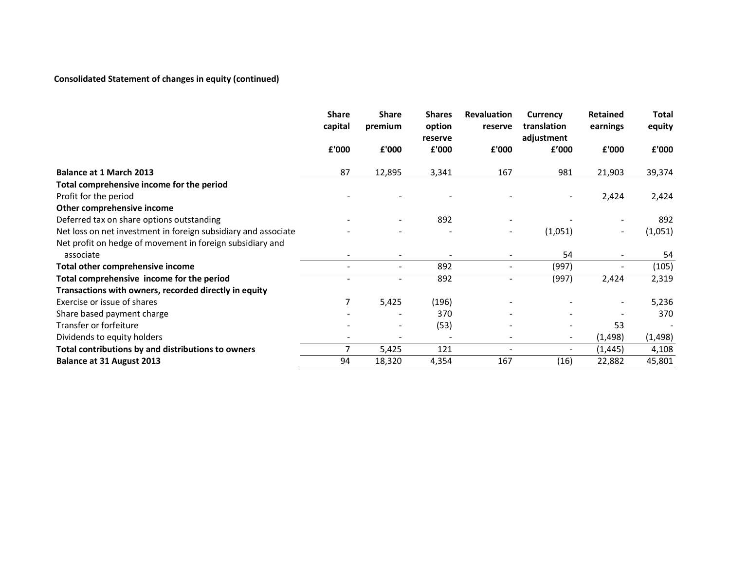## **Consolidated Statement of changes in equity (continued)**

|                                                                | <b>Share</b><br>capital | <b>Share</b><br>premium  | <b>Shares</b><br>option<br>reserve | <b>Revaluation</b><br>reserve | Currency<br>translation<br>adjustment | Retained<br>earnings     | <b>Total</b><br>equity |
|----------------------------------------------------------------|-------------------------|--------------------------|------------------------------------|-------------------------------|---------------------------------------|--------------------------|------------------------|
|                                                                | £'000                   | £'000                    | £'000                              | £'000                         | £'000                                 | £'000                    | £'000                  |
| <b>Balance at 1 March 2013</b>                                 | 87                      | 12,895                   | 3,341                              | 167                           | 981                                   | 21,903                   | 39,374                 |
| Total comprehensive income for the period                      |                         |                          |                                    |                               |                                       |                          |                        |
| Profit for the period                                          |                         |                          |                                    |                               |                                       | 2,424                    | 2,424                  |
| Other comprehensive income                                     |                         |                          |                                    |                               |                                       |                          |                        |
| Deferred tax on share options outstanding                      |                         |                          | 892                                |                               |                                       |                          | 892                    |
| Net loss on net investment in foreign subsidiary and associate |                         |                          |                                    |                               | (1,051)                               | $\sim$                   | (1,051)                |
| Net profit on hedge of movement in foreign subsidiary and      |                         |                          |                                    |                               |                                       |                          |                        |
| associate                                                      |                         |                          |                                    |                               | 54                                    |                          | 54                     |
| Total other comprehensive income                               |                         | $\overline{\phantom{a}}$ | 892                                |                               | (997)                                 | $\overline{\phantom{a}}$ | (105)                  |
| Total comprehensive income for the period                      |                         |                          | 892                                |                               | (997)                                 | 2,424                    | 2,319                  |
| Transactions with owners, recorded directly in equity          |                         |                          |                                    |                               |                                       |                          |                        |
| Exercise or issue of shares                                    | 7                       | 5,425                    | (196)                              |                               |                                       | $\overline{\phantom{a}}$ | 5,236                  |
| Share based payment charge                                     |                         |                          | 370                                |                               |                                       |                          | 370                    |
| Transfer or forfeiture                                         |                         |                          | (53)                               |                               |                                       | 53                       |                        |
| Dividends to equity holders                                    |                         |                          |                                    |                               | $\overline{\phantom{a}}$              | (1, 498)                 | (1, 498)               |
| Total contributions by and distributions to owners             | 7                       | 5,425                    | 121                                |                               | $\overline{\phantom{a}}$              | (1, 445)                 | 4,108                  |
| Balance at 31 August 2013                                      | 94                      | 18,320                   | 4,354                              | 167                           | (16)                                  | 22,882                   | 45,801                 |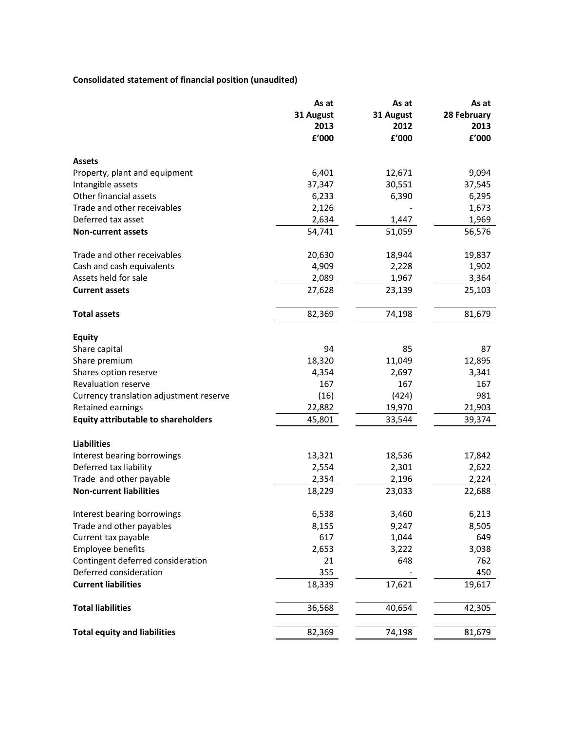## **Consolidated statement of financial position (unaudited)**

|                                            | As at     | As at     | As at       |  |
|--------------------------------------------|-----------|-----------|-------------|--|
|                                            | 31 August | 31 August | 28 February |  |
|                                            | 2013      | 2012      | 2013        |  |
|                                            | £'000     | £'000     | £'000       |  |
| <b>Assets</b>                              |           |           |             |  |
| Property, plant and equipment              | 6,401     | 12,671    | 9,094       |  |
| Intangible assets                          | 37,347    | 30,551    | 37,545      |  |
| Other financial assets                     | 6,233     | 6,390     | 6,295       |  |
| Trade and other receivables                | 2,126     |           | 1,673       |  |
| Deferred tax asset                         | 2,634     | 1,447     |             |  |
|                                            |           |           | 1,969       |  |
| <b>Non-current assets</b>                  | 54,741    | 51,059    | 56,576      |  |
| Trade and other receivables                | 20,630    | 18,944    | 19,837      |  |
| Cash and cash equivalents                  | 4,909     | 2,228     | 1,902       |  |
| Assets held for sale                       | 2,089     | 1,967     | 3,364       |  |
| <b>Current assets</b>                      | 27,628    | 23,139    | 25,103      |  |
| <b>Total assets</b>                        | 82,369    | 74,198    | 81,679      |  |
| <b>Equity</b>                              |           |           |             |  |
| Share capital                              | 94        | 85        | 87          |  |
| Share premium                              | 18,320    | 11,049    | 12,895      |  |
| Shares option reserve                      | 4,354     | 2,697     | 3,341       |  |
| Revaluation reserve                        | 167       | 167       | 167         |  |
| Currency translation adjustment reserve    | (16)      | (424)     | 981         |  |
| Retained earnings                          | 22,882    | 19,970    | 21,903      |  |
|                                            |           |           |             |  |
| <b>Equity attributable to shareholders</b> | 45,801    | 33,544    | 39,374      |  |
| <b>Liabilities</b>                         |           |           |             |  |
| Interest bearing borrowings                | 13,321    | 18,536    | 17,842      |  |
| Deferred tax liability                     | 2,554     | 2,301     | 2,622       |  |
| Trade and other payable                    | 2,354     | 2,196     | 2,224       |  |
| <b>Non-current liabilities</b>             | 18,229    | 23,033    | 22,688      |  |
| Interest bearing borrowings                | 6,538     | 3,460     | 6,213       |  |
| Trade and other payables                   | 8,155     | 9,247     | 8,505       |  |
| Current tax payable                        | 617       | 1,044     | 649         |  |
| <b>Employee benefits</b>                   | 2,653     | 3,222     | 3,038       |  |
| Contingent deferred consideration          | 21        | 648       | 762         |  |
| Deferred consideration                     | 355       |           | 450         |  |
| <b>Current liabilities</b>                 | 18,339    | 17,621    | 19,617      |  |
| <b>Total liabilities</b>                   | 36,568    | 40,654    | 42,305      |  |
|                                            |           |           |             |  |
| <b>Total equity and liabilities</b>        | 82,369    | 74,198    | 81,679      |  |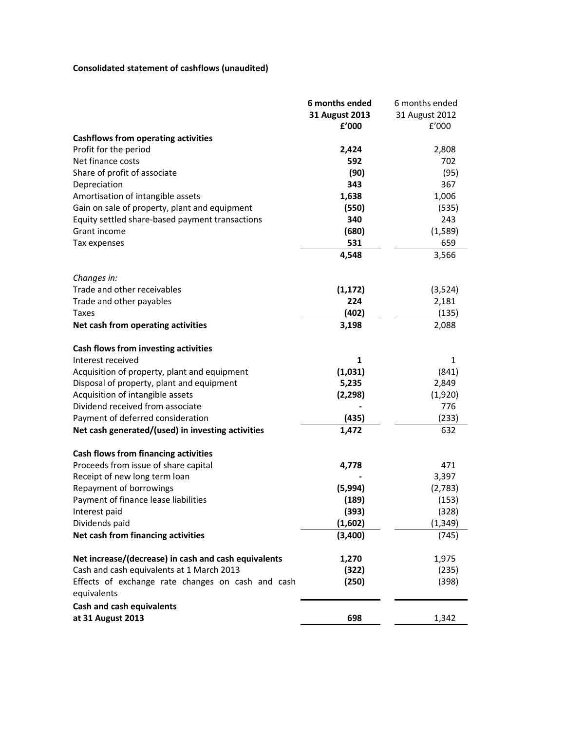# **Consolidated statement of cashflows (unaudited)**

|                                                                  | 6 months ended | 6 months ended |
|------------------------------------------------------------------|----------------|----------------|
|                                                                  | 31 August 2013 | 31 August 2012 |
|                                                                  | £'000          | f'000          |
| <b>Cashflows from operating activities</b>                       |                |                |
| Profit for the period                                            | 2,424          | 2,808          |
| Net finance costs                                                | 592            | 702            |
| Share of profit of associate                                     | (90)           | (95)           |
| Depreciation                                                     | 343            | 367            |
| Amortisation of intangible assets                                | 1,638          | 1,006          |
| Gain on sale of property, plant and equipment                    | (550)          | (535)          |
| Equity settled share-based payment transactions                  | 340            | 243            |
| Grant income                                                     | (680)          | (1,589)        |
| Tax expenses                                                     | 531            | 659            |
|                                                                  | 4,548          | 3,566          |
| Changes in:                                                      |                |                |
| Trade and other receivables                                      | (1, 172)       | (3,524)        |
| Trade and other payables                                         | 224            | 2,181          |
| Taxes                                                            | (402)          | (135)          |
| Net cash from operating activities                               | 3,198          | 2,088          |
| Cash flows from investing activities                             |                |                |
| Interest received                                                | 1              | 1              |
| Acquisition of property, plant and equipment                     | (1,031)        | (841)          |
| Disposal of property, plant and equipment                        | 5,235          | 2,849          |
| Acquisition of intangible assets                                 | (2, 298)       | (1,920)        |
| Dividend received from associate                                 |                | 776            |
| Payment of deferred consideration                                | (435)          | (233)          |
| Net cash generated/(used) in investing activities                | 1,472          | 632            |
| Cash flows from financing activities                             |                |                |
| Proceeds from issue of share capital                             | 4,778          | 471            |
| Receipt of new long term loan                                    |                | 3,397          |
| Repayment of borrowings                                          | (5,994)        | (2,783)        |
| Payment of finance lease liabilities                             | (189)          | (153)          |
| Interest paid                                                    | (393)          | (328)          |
| Dividends paid                                                   | (1,602)        | (1,349)        |
| Net cash from financing activities                               | (3,400)        | (745)          |
| Net increase/(decrease) in cash and cash equivalents             | 1,270          | 1,975          |
| Cash and cash equivalents at 1 March 2013                        | (322)          | (235)          |
| Effects of exchange rate changes on cash and cash<br>equivalents | (250)          | (398)          |
| <b>Cash and cash equivalents</b>                                 |                |                |
| at 31 August 2013                                                | 698            | 1,342          |